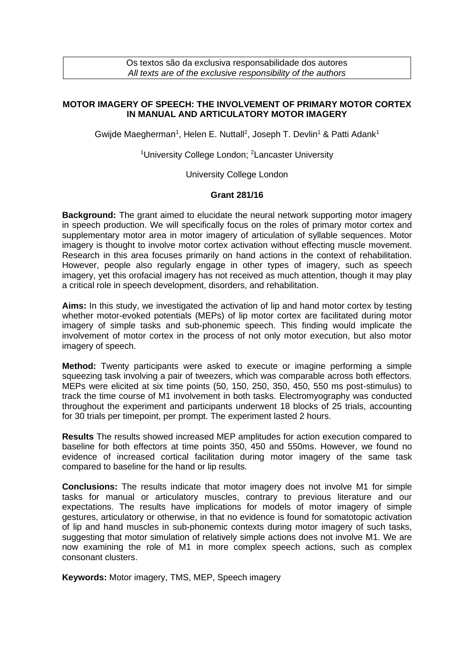Os textos são da exclusiva responsabilidade dos autores *All texts are of the exclusive responsibility of the authors*

## **MOTOR IMAGERY OF SPEECH: THE INVOLVEMENT OF PRIMARY MOTOR CORTEX IN MANUAL AND ARTICULATORY MOTOR IMAGERY**

Gwijde Maegherman<sup>1</sup>, Helen E. Nuttall<sup>2</sup>, Joseph T. Devlin<sup>1</sup> & Patti Adank<sup>1</sup>

<sup>1</sup>University College London; <sup>2</sup>Lancaster University

University College London

## **Grant 281/16**

**Background:** The grant aimed to elucidate the neural network supporting motor imagery in speech production. We will specifically focus on the roles of primary motor cortex and supplementary motor area in motor imagery of articulation of syllable sequences. Motor imagery is thought to involve motor cortex activation without effecting muscle movement. Research in this area focuses primarily on hand actions in the context of rehabilitation. However, people also regularly engage in other types of imagery, such as speech imagery, yet this orofacial imagery has not received as much attention, though it may play a critical role in speech development, disorders, and rehabilitation.

**Aims:** In this study, we investigated the activation of lip and hand motor cortex by testing whether motor-evoked potentials (MEPs) of lip motor cortex are facilitated during motor imagery of simple tasks and sub-phonemic speech. This finding would implicate the involvement of motor cortex in the process of not only motor execution, but also motor imagery of speech.

**Method:** Twenty participants were asked to execute or imagine performing a simple squeezing task involving a pair of tweezers, which was comparable across both effectors. MEPs were elicited at six time points (50, 150, 250, 350, 450, 550 ms post-stimulus) to track the time course of M1 involvement in both tasks. Electromyography was conducted throughout the experiment and participants underwent 18 blocks of 25 trials, accounting for 30 trials per timepoint, per prompt. The experiment lasted 2 hours.

**Results** The results showed increased MEP amplitudes for action execution compared to baseline for both effectors at time points 350, 450 and 550ms. However, we found no evidence of increased cortical facilitation during motor imagery of the same task compared to baseline for the hand or lip results.

**Conclusions:** The results indicate that motor imagery does not involve M1 for simple tasks for manual or articulatory muscles, contrary to previous literature and our expectations. The results have implications for models of motor imagery of simple gestures, articulatory or otherwise, in that no evidence is found for somatotopic activation of lip and hand muscles in sub-phonemic contexts during motor imagery of such tasks, suggesting that motor simulation of relatively simple actions does not involve M1. We are now examining the role of M1 in more complex speech actions, such as complex consonant clusters.

**Keywords:** Motor imagery, TMS, MEP, Speech imagery